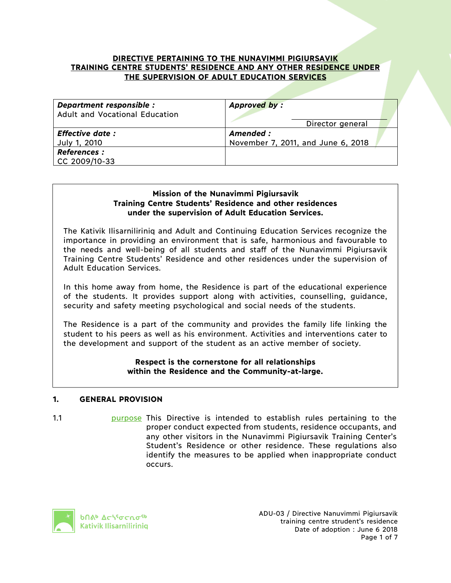#### **DIRECTIVE PERTAINING TO THE NUNAVIMMI PIGIURSAVIK TRAINING CENTRE STUDENTS' RESIDENCE AND ANY OTHER RESIDENCE UNDER THE SUPERVISION OF ADULT EDUCATION SERVICES**

| Department responsible :<br>Adult and Vocational Education | <b>Approved by:</b><br>Director general |
|------------------------------------------------------------|-----------------------------------------|
| <b>Effective date:</b>                                     | Amended :                               |
| July 1, 2010                                               | November 7, 2011, and June 6, 2018      |
| <b>References:</b><br>$CC 2009/10-33$                      |                                         |

### **Mission of the Nunavimmi Pigiursavik Training Centre Students' Residence and other residences under the supervision of Adult Education Services.**

The Kativik Ilisarniliriniq and Adult and Continuing Education Services recognize the importance in providing an environment that is safe, harmonious and favourable to the needs and well-being of all students and staff of the Nunavimmi Pigiursavik Training Centre Students' Residence and other residences under the supervision of Adult Education Services.

In this home away from home, the Residence is part of the educational experience of the students. It provides support along with activities, counselling, guidance, security and safety meeting psychological and social needs of the students.

The Residence is a part of the community and provides the family life linking the student to his peers as well as his environment. Activities and interventions cater to the development and support of the student as an active member of society.

> **Respect is the cornerstone for all relationships within the Residence and the Community-at-large.**

### **1. GENERAL PROVISION**

1.1 **purpose This Directive is intended to establish rules pertaining to the** proper conduct expected from students, residence occupants, and any other visitors in the Nunavimmi Pigiursavik Training Center's Student's Residence or other residence. These regulations also identify the measures to be applied when inappropriate conduct occurs.

**b**nab Achiocnosb Kativik Ilisarniliriniq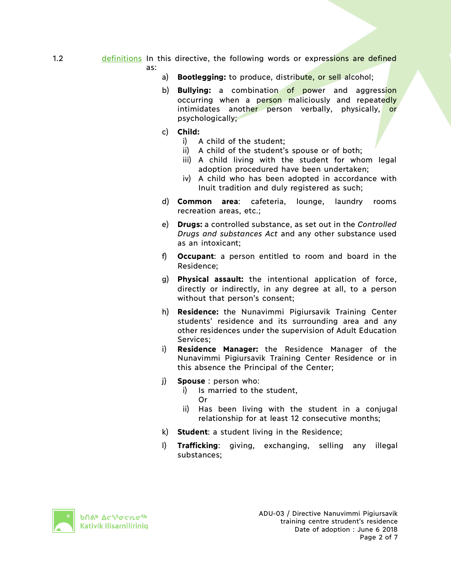#### 1.2 definitions In this directive, the following words or expressions are defined as:

- a) **Bootlegging:** to produce, distribute, or sell alcohol;
- b) **Bullying:** a combination of power and aggression occurring when a person maliciously and repeatedly intimidates another person verbally, physically, or psychologically;
- c) **Child:**
	- i) A child of the student;
		- ii) A child of the student's spouse or of both;
		- iii) A child living with the student for whom legal adoption procedured have been undertaken;
		- iv) A child who has been adopted in accordance with Inuit tradition and duly registered as such;
- d) **Common area**: cafeteria, lounge, laundry rooms recreation areas, etc.;
- e) **Drugs:** a controlled substance, as set out in the *Controlled Drugs and substances Act* and any other substance used as an intoxicant;
- f) **Occupant**: a person entitled to room and board in the Residence;
- g) **Physical assault:** the intentional application of force, directly or indirectly, in any degree at all, to a person without that person's consent;
- h) **Residence:** the Nunavimmi Pigiursavik Training Center students' residence and its surrounding area and any other residences under the supervision of Adult Education Services;
- i) **Residence Manager:** the Residence Manager of the Nunavimmi Pigiursavik Training Center Residence or in this absence the Principal of the Center;
- j) **Spouse** : person who:
	- i) Is married to the student. Or
	- ii) Has been living with the student in a conjugal relationship for at least 12 consecutive months;
- k) **Student**: a student living in the Residence;
- l) **Trafficking**: giving, exchanging, selling any illegal substances;

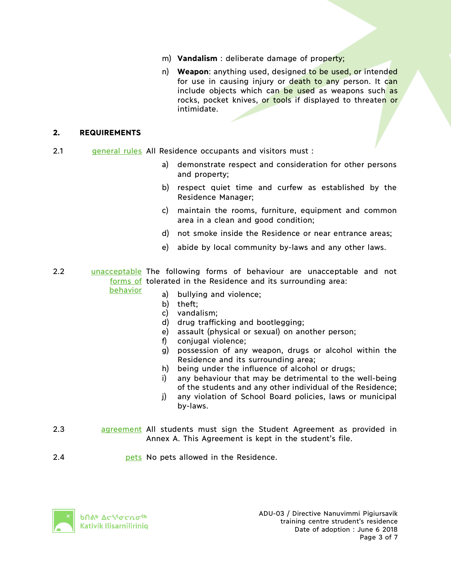- m) **Vandalism** : deliberate damage of property;
- n) **Weapon**: anything used, designed to be used, or intended for use in causing injury or death to any person. It can include objects which can be used as weapons such as rocks, pocket knives, or tools if displayed to threaten or intimidate.

#### **2. REQUIREMENTS**

- 2.1 general rules All Residence occupants and visitors must :
	- a) demonstrate respect and consideration for other persons and property;
	- b) respect quiet time and curfew as established by the Residence Manager;
	- c) maintain the rooms, furniture, equipment and common area in a clean and good condition;
	- d) not smoke inside the Residence or near entrance areas;
	- e) abide by local community by-laws and any other laws.
- 2.2 **unacceptable The following forms of behaviour are unacceptable and not** forms of tolerated in the Residence and its surrounding area: behavior
	- a) bullying and violence;
		- b) theft;
		- c) vandalism;
		- d) drug trafficking and bootlegging;
		- e) assault (physical or sexual) on another person;
		- f) conjugal violence;
		- g) possession of any weapon, drugs or alcohol within the Residence and its surrounding area;
		- h) being under the influence of alcohol or drugs;
		- i) any behaviour that may be detrimental to the well-being of the students and any other individual of the Residence;
		- j) any violation of School Board policies, laws or municipal by-laws.
- 2.3 **agreement All students must sign the Student Agreement as provided in** Annex A. This Agreement is kept in the student's file.
- 2.4 **pets** No pets allowed in the Residence.

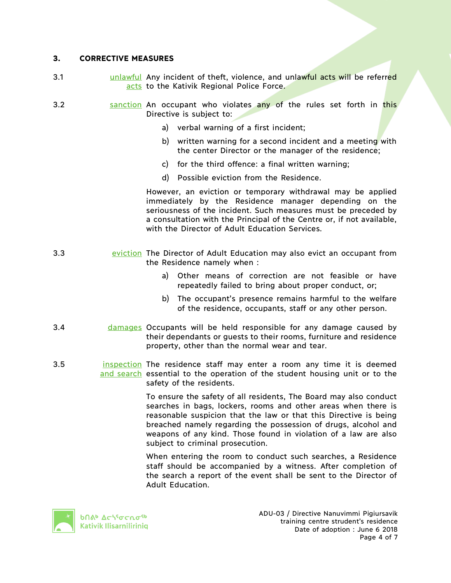#### **3. CORRECTIVE MEASURES**

- 3.1 The unlawful Any incident of theft, violence, and unlawful acts will be referred acts to the Kativik Regional Police Force.
- 3.2 **Sanction** An occupant who violates any of the rules set forth in this Directive is subject to:
	- a) verbal warning of a first incident;
	- b) written warning for a second incident and a meeting with the center Director or the manager of the residence;
	- c) for the third offence: a final written warning;
	- d) Possible eviction from the Residence.

However, an eviction or temporary withdrawal may be applied immediately by the Residence manager depending on the seriousness of the incident. Such measures must be preceded by a consultation with the Principal of the Centre or, if not available, with the Director of Adult Education Services.

- 3.3 eviction The Director of Adult Education may also evict an occupant from the Residence namely when :
	- a) Other means of correction are not feasible or have repeatedly failed to bring about proper conduct, or;
	- b) The occupant's presence remains harmful to the welfare of the residence, occupants, staff or any other person.
- 3.4 damages Occupants will be held responsible for any damage caused by their dependants or guests to their rooms, furniture and residence property, other than the normal wear and tear.
- 3.5 **inspection** The residence staff may enter a room any time it is deemed and search essential to the operation of the student housing unit or to the safety of the residents.

To ensure the safety of all residents, The Board may also conduct searches in bags, lockers, rooms and other areas when there is reasonable suspicion that the law or that this Directive is being breached namely regarding the possession of drugs, alcohol and weapons of any kind. Those found in violation of a law are also subject to criminal prosecution.

When entering the room to conduct such searches, a Residence staff should be accompanied by a witness. After completion of the search a report of the event shall be sent to the Director of Adult Education.

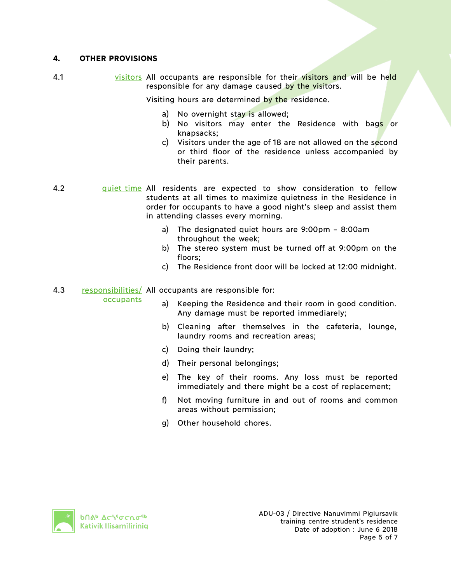### **4. OTHER PROVISIONS**

4.1 visitors All occupants are responsible for their visitors and will be held responsible for any damage caused by the visitors.

Visiting hours are determined by the residence.

- a) No overnight stay is allowed;
- b) No visitors may enter the Residence with bags or knapsacks;
- c) Visitors under the age of 18 are not allowed on the second or third floor of the residence unless accompanied by their parents.
- 4.2 quiet time All residents are expected to show consideration to fellow students at all times to maximize quietness in the Residence in order for occupants to have a good night's sleep and assist them in attending classes every morning.
	- a) The designated quiet hours are 9:00pm 8:00am throughout the week;
	- b) The stereo system must be turned off at 9:00pm on the floors;
	- c) The Residence front door will be locked at 12:00 midnight.

#### 4.3 responsibilities/ All occupants are responsible for:

**occupants** 

- a) Keeping the Residence and their room in good condition. Any damage must be reported immediarely;
- b) Cleaning after themselves in the cafeteria, lounge, laundry rooms and recreation areas;
- c) Doing their laundry;
- d) Their personal belongings;
- e) The key of their rooms. Any loss must be reported immediately and there might be a cost of replacement;
- f) Not moving furniture in and out of rooms and common areas without permission;
- g) Other household chores.

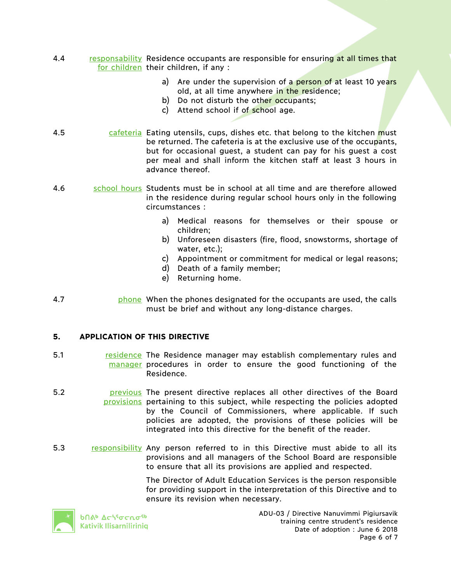- 4.4 responsability Residence occupants are responsible for ensuring at all times that for children their children, if any :
	- a) Are under the supervision of a person of at least 10 years old, at all time anywhere in the residence;
	- b) Do not disturb the other occupants;
	- c) Attend school if of school age.
- 4.5 cafeteria Eating utensils, cups, dishes etc. that belong to the kitchen must be returned. The cafeteria is at the exclusive use of the occupants, but for occasional guest, a student can pay for his guest a cost per meal and shall inform the kitchen staff at least 3 hours in advance thereof.
- 4.6 school hours Students must be in school at all time and are therefore allowed in the residence during regular school hours only in the following circumstances :
	- a) Medical reasons for themselves or their spouse or children;
	- b) Unforeseen disasters (fire, flood, snowstorms, shortage of water, etc.);
	- c) Appointment or commitment for medical or legal reasons;
	- d) Death of a family member;
	- e) Returning home.
- 4.7 **phone** When the phones designated for the occupants are used, the calls must be brief and without any long-distance charges.

#### **5. APPLICATION OF THIS DIRECTIVE**

- 5.1 **residence The Residence manager may establish complementary rules and** manager procedures in order to ensure the good functioning of the Residence.
- 5.2 **Example 1** previous The present directive replaces all other directives of the Board provisions pertaining to this subject, while respecting the policies adopted by the Council of Commissioners, where applicable. If such policies are adopted, the provisions of these policies will be integrated into this directive for the benefit of the reader.
- 5.3 responsibility Any person referred to in this Directive must abide to all its provisions and all managers of the School Board are responsible to ensure that all its provisions are applied and respected.

The Director of Adult Education Services is the person responsible for providing support in the interpretation of this Directive and to ensure its revision when necessary.



**b**በል<sup>b</sup> Δς\<sup>ς</sup>σς λσ<sup>ς b</sup> Kativik Ilisarniliriniq